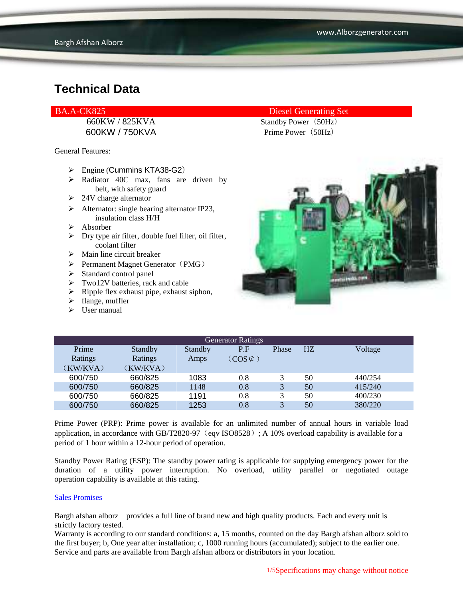600KW / 750KVA Prime Power (50Hz)

General Features:

- $\triangleright$  Engine (Cummins KTA38-G2)
- $\triangleright$  Radiator 40C max, fans are driven by belt, with safety guard
- $\geq 24V$  charge alternator
- $\triangleright$  Alternator: single bearing alternator IP23, insulation class H/H
- Absorber
- $\triangleright$  Dry type air filter, double fuel filter, oil filter, coolant filter
- $\triangleright$  Main line circuit breaker
- $\triangleright$  Permanent Magnet Generator (PMG)
- $\triangleright$  Standard control panel
- $\triangleright$  Two12V batteries, rack and cable
- $\triangleright$  Ripple flex exhaust pipe, exhaust siphon,
- $\blacktriangleright$  flange, muffler
- $\triangleright$  User manual

#### BA.A-CK825 Diesel Generating Set

660KW / 825KVA Standby Power (50Hz)



| <b>Generator Ratings</b> |                |         |                     |       |    |         |
|--------------------------|----------------|---------|---------------------|-------|----|---------|
| Prime                    | <b>Standby</b> | Standby | P.F                 | Phase | HZ | Voltage |
| Ratings                  | Ratings        | Amps    | $(COS \mathcal{C})$ |       |    |         |
| (KW/KVA)                 | (KW/KVA)       |         |                     |       |    |         |
| 600/750                  | 660/825        | 1083    | 0.8                 |       | 50 | 440/254 |
| 600/750                  | 660/825        | 1148    | 0.8                 | 3     | 50 | 415/240 |
| 600/750                  | 660/825        | 1191    | 0.8                 | 3     | 50 | 400/230 |
| 600/750                  | 660/825        | 1253    | 0.8                 | 3     | 50 | 380/220 |

Prime Power (PRP): Prime power is available for an unlimited number of annual hours in variable load application, in accordance with GB/T2820-97 (eqv ISO8528); A 10% overload capability is available for a period of 1 hour within a 12-hour period of operation.

Standby Power Rating (ESP): The standby power rating is applicable for supplying emergency power for the duration of a utility power interruption. No overload, utility parallel or negotiated outage operation capability is available at this rating.

#### Sales Promises

Bargh afshan alborz provides a full line of brand new and high quality products. Each and every unit is strictly factory tested.

Warranty is according to our standard conditions: a, 15 months, counted on the day Bargh afshan alborz sold to the first buyer; b, One year after installation; c, 1000 running hours (accumulated); subject to the earlier one. Service and parts are available from Bargh afshan alborz or distributors in your location.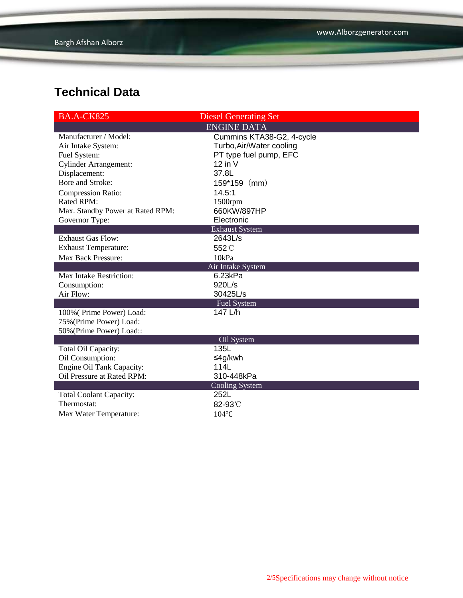| <b>BA.A-CK825</b>                | <b>Diesel Generating Set</b> |  |  |  |
|----------------------------------|------------------------------|--|--|--|
| <b>ENGINE DATA</b>               |                              |  |  |  |
| Manufacturer / Model:            | Cummins KTA38-G2, 4-cycle    |  |  |  |
| Air Intake System:               | Turbo, Air/Water cooling     |  |  |  |
| Fuel System:                     | PT type fuel pump, EFC       |  |  |  |
| <b>Cylinder Arrangement:</b>     | $12$ in V                    |  |  |  |
| Displacement:                    | 37.8L                        |  |  |  |
| Bore and Stroke:                 | $159*159$ (mm)               |  |  |  |
| <b>Compression Ratio:</b>        | 14.5:1                       |  |  |  |
| Rated RPM:                       | 1500rpm                      |  |  |  |
| Max. Standby Power at Rated RPM: | 660KW/897HP                  |  |  |  |
| Governor Type:                   | Electronic                   |  |  |  |
|                                  | <b>Exhaust System</b>        |  |  |  |
| <b>Exhaust Gas Flow:</b>         | 2643L/s                      |  |  |  |
| <b>Exhaust Temperature:</b>      | 552°C                        |  |  |  |
| Max Back Pressure:               | 10kPa                        |  |  |  |
|                                  | Air Intake System            |  |  |  |
| Max Intake Restriction:          | 6.23kPa                      |  |  |  |
| Consumption:                     | 920L/s                       |  |  |  |
| Air Flow:                        | 30425L/s                     |  |  |  |
| <b>Fuel System</b>               |                              |  |  |  |
| 100% (Prime Power) Load:         | 147 L/h                      |  |  |  |
| 75% (Prime Power) Load:          |                              |  |  |  |
| 50% (Prime Power) Load::         |                              |  |  |  |
|                                  | Oil System                   |  |  |  |
| Total Oil Capacity:              | 135L                         |  |  |  |
| Oil Consumption:                 | ≤4g/kwh                      |  |  |  |
| Engine Oil Tank Capacity:        | 114L                         |  |  |  |
| Oil Pressure at Rated RPM:       | 310-448kPa                   |  |  |  |
|                                  | <b>Cooling System</b>        |  |  |  |
| <b>Total Coolant Capacity:</b>   | 252L                         |  |  |  |
| Thermostat:                      | 82-93°C                      |  |  |  |
| Max Water Temperature:           | $104$ °C                     |  |  |  |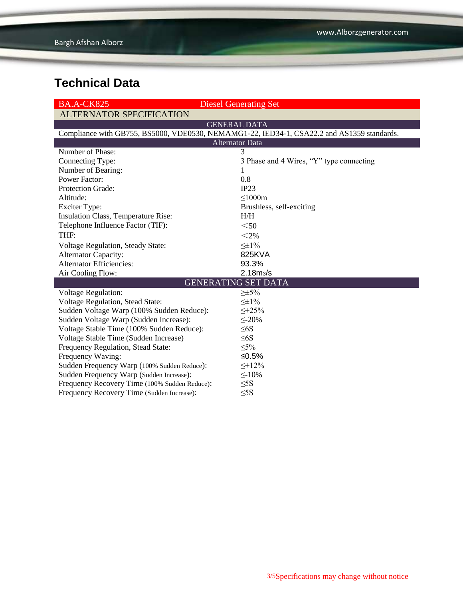| <b>BA.A-CK825</b>                             | <b>Diesel Generating Set</b>                                                               |  |  |  |  |
|-----------------------------------------------|--------------------------------------------------------------------------------------------|--|--|--|--|
| <b>ALTERNATOR SPECIFICATION</b>               |                                                                                            |  |  |  |  |
|                                               | <b>GENERAL DATA</b>                                                                        |  |  |  |  |
|                                               | Compliance with GB755, BS5000, VDE0530, NEMAMG1-22, IED34-1, CSA22.2 and AS1359 standards. |  |  |  |  |
| <b>Alternator Data</b>                        |                                                                                            |  |  |  |  |
| Number of Phase:                              | 3                                                                                          |  |  |  |  |
| Connecting Type:                              | 3 Phase and 4 Wires, "Y" type connecting                                                   |  |  |  |  |
| Number of Bearing:                            | 1                                                                                          |  |  |  |  |
| <b>Power Factor:</b>                          | 0.8                                                                                        |  |  |  |  |
| Protection Grade:                             | IP23                                                                                       |  |  |  |  |
| Altitude:                                     | $\leq 1000m$                                                                               |  |  |  |  |
| <b>Exciter Type:</b>                          | Brushless, self-exciting                                                                   |  |  |  |  |
| Insulation Class, Temperature Rise:           | H/H                                                                                        |  |  |  |  |
| Telephone Influence Factor (TIF):             | $50$                                                                                       |  |  |  |  |
| THF:                                          | $<$ 2%                                                                                     |  |  |  |  |
| <b>Voltage Regulation, Steady State:</b>      | $\leq \pm 1\%$                                                                             |  |  |  |  |
| <b>Alternator Capacity:</b>                   | 825KVA                                                                                     |  |  |  |  |
| <b>Alternator Efficiencies:</b>               | 93.3%                                                                                      |  |  |  |  |
| Air Cooling Flow:                             | 2.18m <sub>3</sub> /s                                                                      |  |  |  |  |
| <b>GENERATING SET DATA</b>                    |                                                                                            |  |  |  |  |
| <b>Voltage Regulation:</b>                    | $\geq \pm 5\%$                                                                             |  |  |  |  |
| Voltage Regulation, Stead State:              | $\leq \pm 1\%$                                                                             |  |  |  |  |
| Sudden Voltage Warp (100% Sudden Reduce):     | $\leq +25\%$                                                                               |  |  |  |  |
| Sudden Voltage Warp (Sudden Increase):        | $\leq$ -20%                                                                                |  |  |  |  |
| Voltage Stable Time (100% Sudden Reduce):     | $\leq 6S$                                                                                  |  |  |  |  |
| Voltage Stable Time (Sudden Increase)         | $\leq 6S$                                                                                  |  |  |  |  |
| Frequency Regulation, Stead State:            | $\leq 5\%$                                                                                 |  |  |  |  |
| Frequency Waving:                             | ≤ $0.5%$                                                                                   |  |  |  |  |
| Sudden Frequency Warp (100% Sudden Reduce):   | $\leq +12\%$                                                                               |  |  |  |  |
| Sudden Frequency Warp (Sudden Increase):      | $\leq$ -10%                                                                                |  |  |  |  |
| Frequency Recovery Time (100% Sudden Reduce): | $\leq$ 5S                                                                                  |  |  |  |  |
| Frequency Recovery Time (Sudden Increase):    | $\leq$ 5S                                                                                  |  |  |  |  |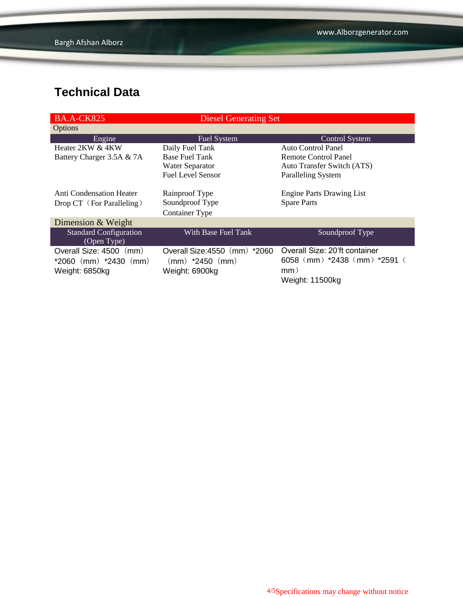| <b>BA.A-CK825</b>                                                      | <b>Diesel Generating Set</b>                                           |                                                                                         |
|------------------------------------------------------------------------|------------------------------------------------------------------------|-----------------------------------------------------------------------------------------|
| Options                                                                |                                                                        |                                                                                         |
| Engine                                                                 | Fuel System                                                            | <b>Control System</b>                                                                   |
| Heater 2KW & 4KW                                                       | Daily Fuel Tank                                                        | <b>Auto Control Panel</b>                                                               |
| Battery Charger 3.5A & 7A                                              | <b>Base Fuel Tank</b>                                                  | Remote Control Panel                                                                    |
|                                                                        | <b>Water Separator</b>                                                 | Auto Transfer Switch (ATS)                                                              |
|                                                                        | <b>Fuel Level Sensor</b>                                               | <b>Paralleling System</b>                                                               |
| Anti Condensation Heater<br>Drop CT (For Paralleling)                  | Rainproof Type<br>Soundproof Type<br>Container Type                    | <b>Engine Parts Drawing List</b><br><b>Spare Parts</b>                                  |
| Dimension & Weight                                                     |                                                                        |                                                                                         |
| <b>Standard Configuration</b><br>(Open Type)                           | With Base Fuel Tank                                                    | Soundproof Type                                                                         |
| Overall Size: 4500 (mm)<br>$*2060$ (mm) $*2430$ (mm)<br>Weight: 6850kg | Overall Size: 4550 (mm) *2060<br>$(mm)$ *2450 $(mm)$<br>Weight: 6900kg | Overall Size: 20'ft container<br>6058 (mm) *2438 (mm) *2591 (<br>mm)<br>Weight: 11500kg |